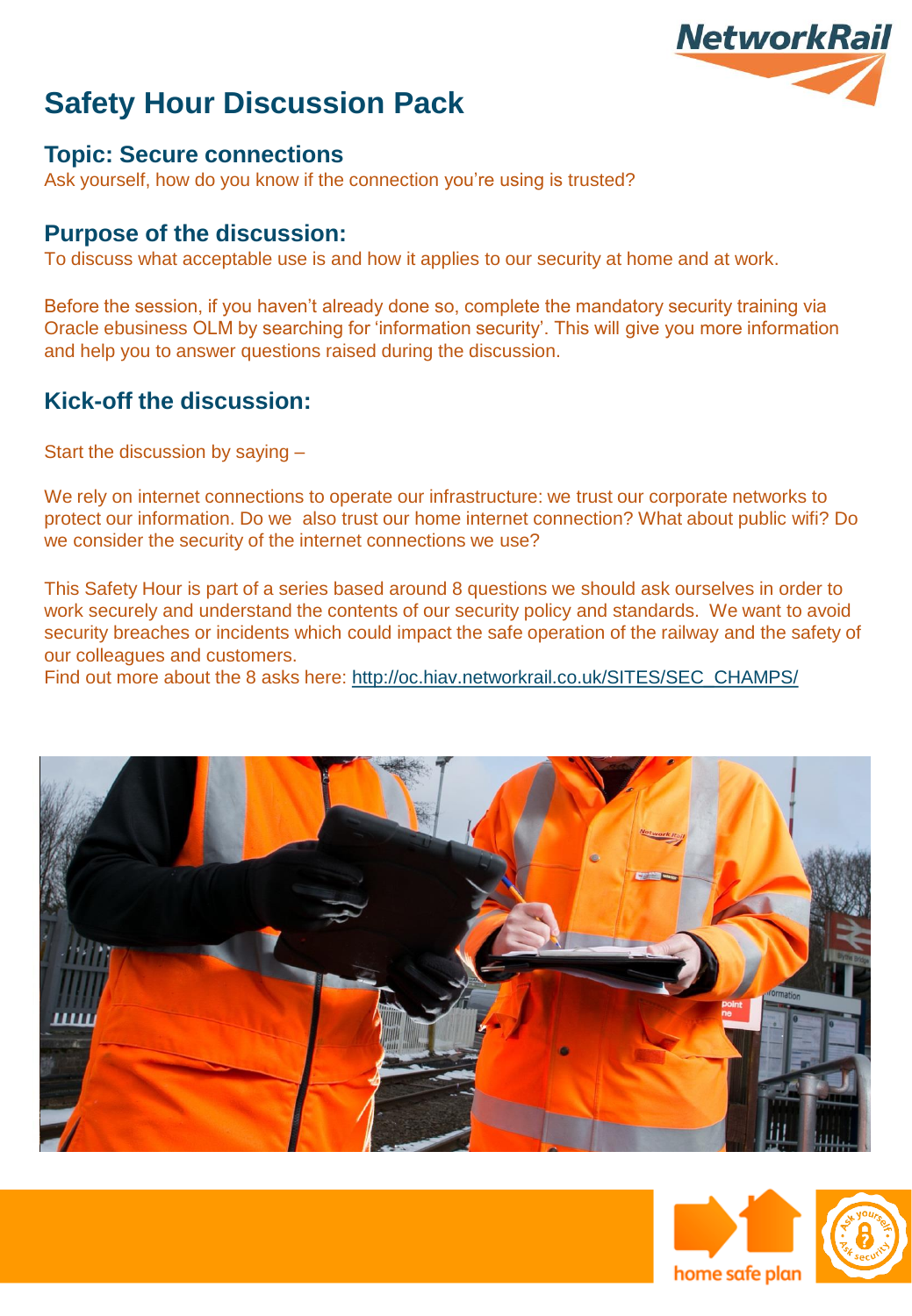

#### **Topic: Secure connections**

Ask yourself, how do you know if the connection you're using is trusted?

#### **Purpose of the discussion:**

To discuss what acceptable use is and how it applies to our security at home and at work.

Before the session, if you haven't already done so, complete the mandatory security training via Oracle ebusiness OLM by searching for 'information security'. This will give you more information and help you to answer questions raised during the discussion.

#### **Kick-off the discussion:**

Start the discussion by saying –

We rely on internet connections to operate our infrastructure: we trust our corporate networks to protect our information. Do we also trust our home internet connection? What about public wifi? Do we consider the security of the internet connections we use?

This Safety Hour is part of a series based around 8 questions we should ask ourselves in order to work securely and understand the contents of our security policy and standards. We want to avoid security breaches or incidents which could impact the safe operation of the railway and the safety of our colleagues and customers.

Find out more about the 8 asks here: [http://oc.hiav.networkrail.co.uk/SITES/SEC\\_CHAMPS/](http://oc.hiav.networkrail.co.uk/SITES/SEC_CHAMPS/)





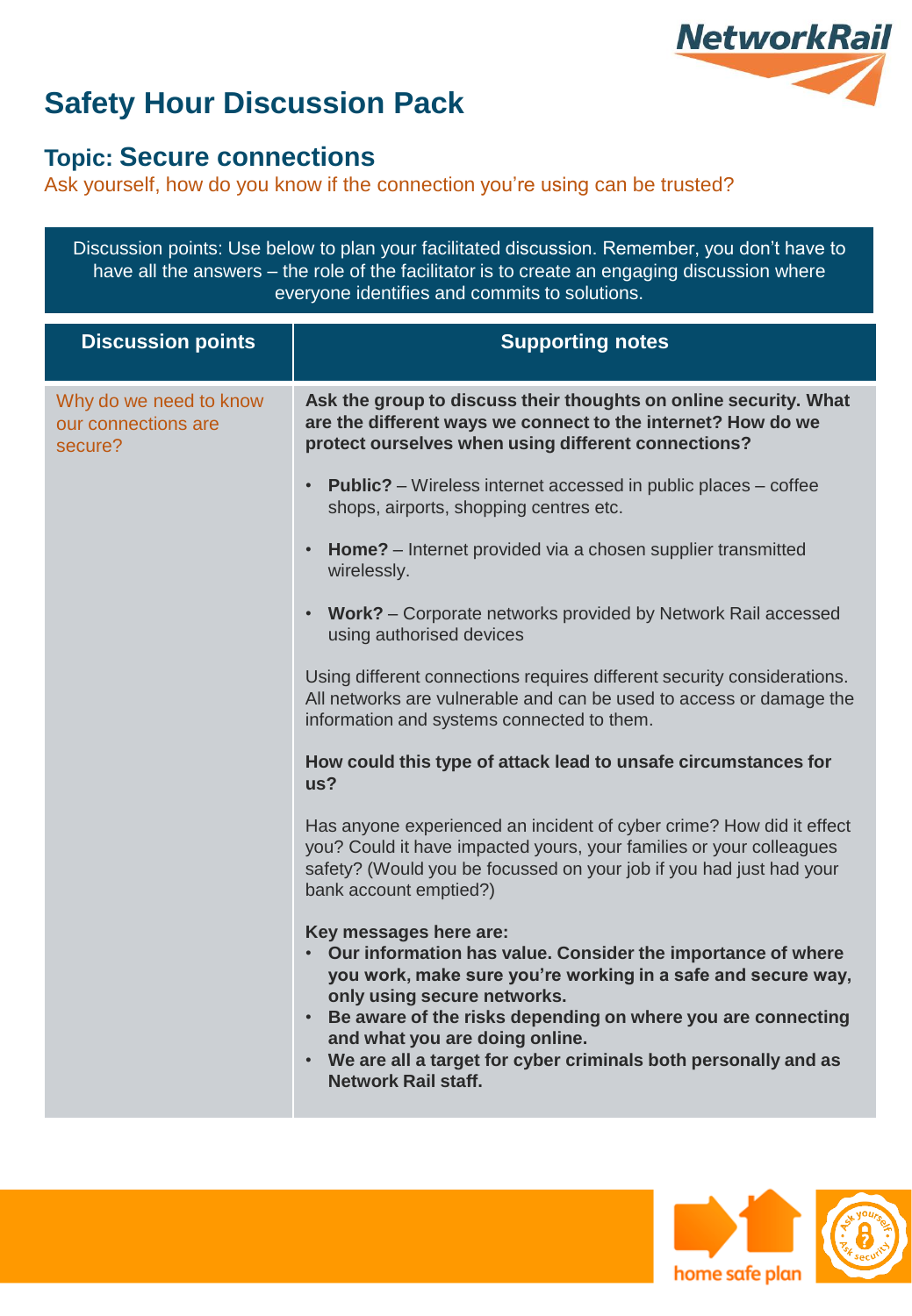

### **Topic: Secure connections**

Ask yourself, how do you know if the connection you're using can be trusted?

Discussion points: Use below to plan your facilitated discussion. Remember, you don't have to have all the answers – the role of the facilitator is to create an engaging discussion where everyone identifies and commits to solutions.

| <b>Discussion points</b>                                 | <b>Supporting notes</b>                                                                                                                                                                                                                                                                                                                                                                     |
|----------------------------------------------------------|---------------------------------------------------------------------------------------------------------------------------------------------------------------------------------------------------------------------------------------------------------------------------------------------------------------------------------------------------------------------------------------------|
| Why do we need to know<br>our connections are<br>secure? | Ask the group to discuss their thoughts on online security. What<br>are the different ways we connect to the internet? How do we<br>protect ourselves when using different connections?                                                                                                                                                                                                     |
|                                                          | <b>Public?</b> – Wireless internet accessed in public places – coffee<br>shops, airports, shopping centres etc.                                                                                                                                                                                                                                                                             |
|                                                          | Home? - Internet provided via a chosen supplier transmitted<br>wirelessly.                                                                                                                                                                                                                                                                                                                  |
|                                                          | Work? - Corporate networks provided by Network Rail accessed<br>using authorised devices                                                                                                                                                                                                                                                                                                    |
|                                                          | Using different connections requires different security considerations.<br>All networks are vulnerable and can be used to access or damage the<br>information and systems connected to them.                                                                                                                                                                                                |
|                                                          | How could this type of attack lead to unsafe circumstances for<br>us?                                                                                                                                                                                                                                                                                                                       |
|                                                          | Has anyone experienced an incident of cyber crime? How did it effect<br>you? Could it have impacted yours, your families or your colleagues<br>safety? (Would you be focussed on your job if you had just had your<br>bank account emptied?)                                                                                                                                                |
|                                                          | Key messages here are:<br>• Our information has value. Consider the importance of where<br>you work, make sure you're working in a safe and secure way,<br>only using secure networks.<br>• Be aware of the risks depending on where you are connecting<br>and what you are doing online.<br>• We are all a target for cyber criminals both personally and as<br><b>Network Rail staff.</b> |



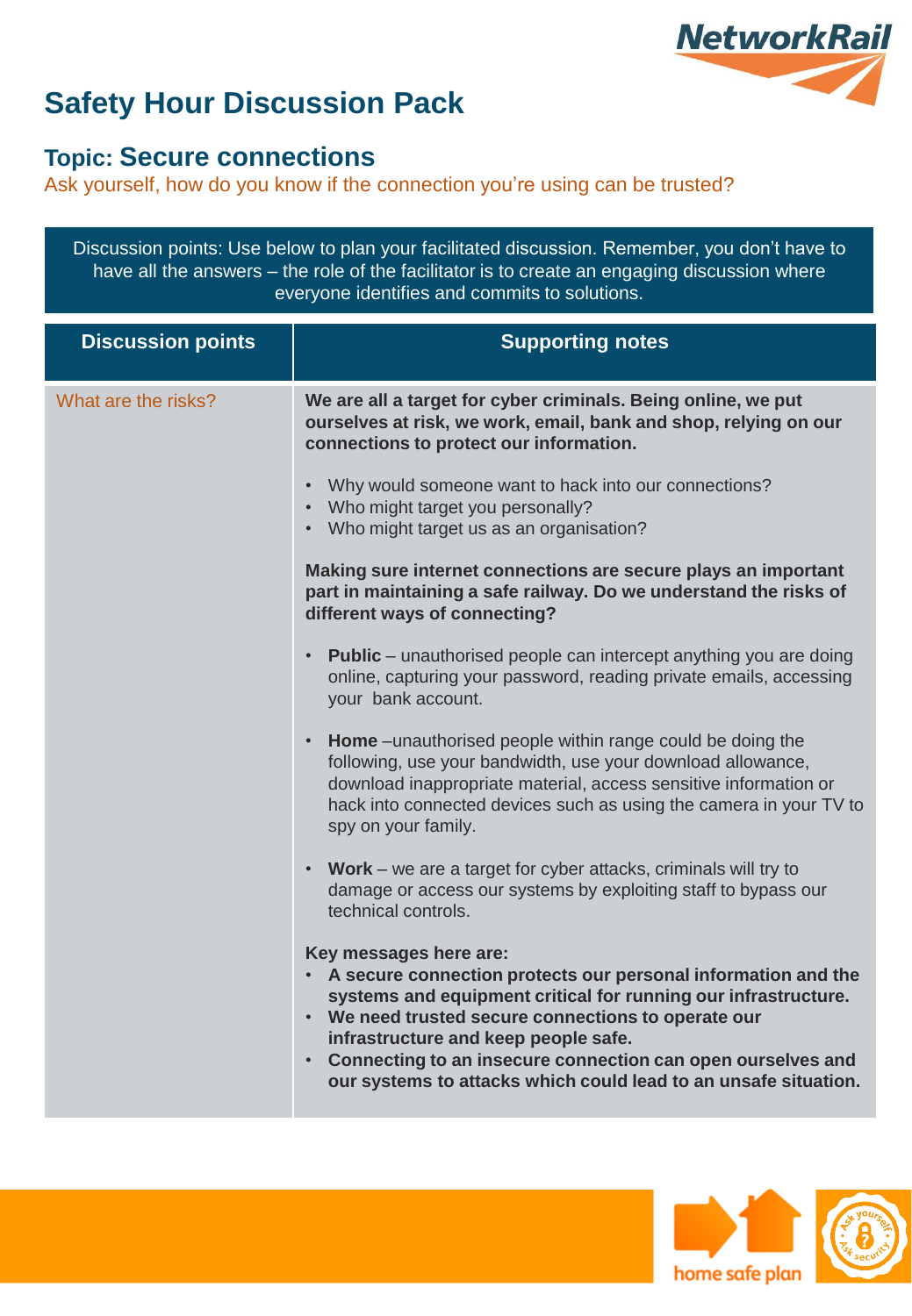

### **Topic: Secure connections**

Ask yourself, how do you know if the connection you're using can be trusted?

Discussion points: Use below to plan your facilitated discussion. Remember, you don't have to have all the answers – the role of the facilitator is to create an engaging discussion where everyone identifies and commits to solutions.

| <b>Discussion points</b> | <b>Supporting notes</b>                                                                                                                                                                                                                                                                                                                                                                                     |
|--------------------------|-------------------------------------------------------------------------------------------------------------------------------------------------------------------------------------------------------------------------------------------------------------------------------------------------------------------------------------------------------------------------------------------------------------|
| What are the risks?      | We are all a target for cyber criminals. Being online, we put<br>ourselves at risk, we work, email, bank and shop, relying on our<br>connections to protect our information.                                                                                                                                                                                                                                |
|                          | Why would someone want to hack into our connections?<br>Who might target you personally?<br>• Who might target us as an organisation?                                                                                                                                                                                                                                                                       |
|                          | Making sure internet connections are secure plays an important<br>part in maintaining a safe railway. Do we understand the risks of<br>different ways of connecting?                                                                                                                                                                                                                                        |
|                          | <b>Public</b> – unauthorised people can intercept anything you are doing<br>online, capturing your password, reading private emails, accessing<br>your bank account.                                                                                                                                                                                                                                        |
|                          | Home - unauthorised people within range could be doing the<br>following, use your bandwidth, use your download allowance,<br>download inappropriate material, access sensitive information or<br>hack into connected devices such as using the camera in your TV to<br>spy on your family.                                                                                                                  |
|                          | Work - we are a target for cyber attacks, criminals will try to<br>damage or access our systems by exploiting staff to bypass our<br>technical controls.                                                                                                                                                                                                                                                    |
|                          | Key messages here are:<br>• A secure connection protects our personal information and the<br>systems and equipment critical for running our infrastructure.<br>• We need trusted secure connections to operate our<br>infrastructure and keep people safe.<br>Connecting to an insecure connection can open ourselves and<br>$\bullet$ .<br>our systems to attacks which could lead to an unsafe situation. |